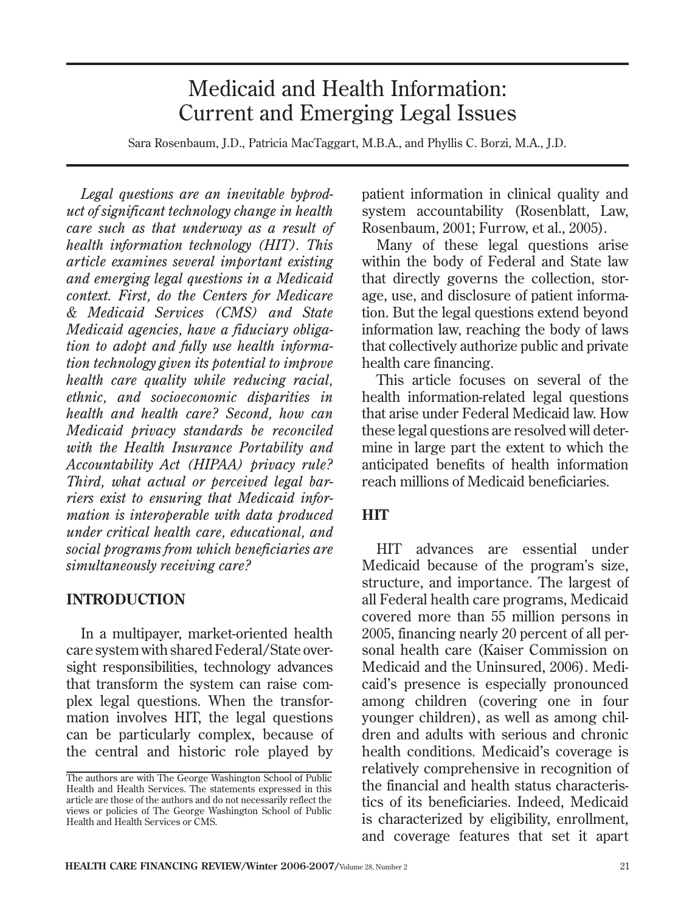# Medicaid and Health Information: Current and Emerging Legal Issues

Sara Rosenbaum, J.D., Patricia MacTaggart, M.B.A., and Phyllis C. Borzi, M.A., J.D.

*Legal questions are an inevitable byproduct of significant technology change in health care such as that underway as a result of health information technology (HIT). This article examines several important existing and emerging legal questions in a Medicaid context. First, do the Centers for Medicare & Medicaid Services (CMS) and State Medicaid agencies, have a fiduciary obligation to adopt and fully use health information technology given its potential to improve health care quality while reducing racial, ethnic, and socioeconomic disparities in health and health care? Second, how can Medicaid privacy standards be reconciled with the Health Insurance Portability and Accountability Act (HIPAA) privacy rule? Third, what actual or perceived legal barriers exist to ensuring that Medicaid information is interoperable with data produced under critical health care, educational, and social programs from which beneficiaries are simultaneously receiving care?* 

#### **INTRODUCTION**

In a multipayer, market-oriented health care system with shared Federal/State oversight responsibilities, technology advances that transform the system can raise complex legal questions. When the transformation involves HIT, the legal questions can be particularly complex, because of the central and historic role played by

patient information in clinical quality and system accountability (Rosenblatt, Law, Rosenbaum, 2001; Furrow, et al., 2005).

Many of these legal questions arise within the body of Federal and State law that directly governs the collection, storage, use, and disclosure of patient information. But the legal questions extend beyond information law, reaching the body of laws that collectively authorize public and private health care financing.

This article focuses on several of the health information-related legal questions that arise under Federal Medicaid law. How these legal questions are resolved will determine in large part the extent to which the anticipated benefits of health information reach millions of Medicaid beneficiaries.

### **HIT**

HIT advances are essential under Medicaid because of the program's size, structure, and importance. The largest of all Federal health care programs, Medicaid covered more than 55 million persons in 2005, financing nearly 20 percent of all personal health care (Kaiser Commission on Medicaid and the Uninsured, 2006). Medicaid's presence is especially pronounced among children (covering one in four younger children), as well as among children and adults with serious and chronic health conditions. Medicaid's coverage is relatively comprehensive in recognition of the financial and health status characteristics of its beneficiaries. Indeed, Medicaid is characterized by eligibility, enrollment, and coverage features that set it apart

The authors are with The George Washington School of Public Health and Health Services. The statements expressed in this article are those of the authors and do not necessarily reflect the views or policies of The George Washington School of Public Health and Health Services or CMS.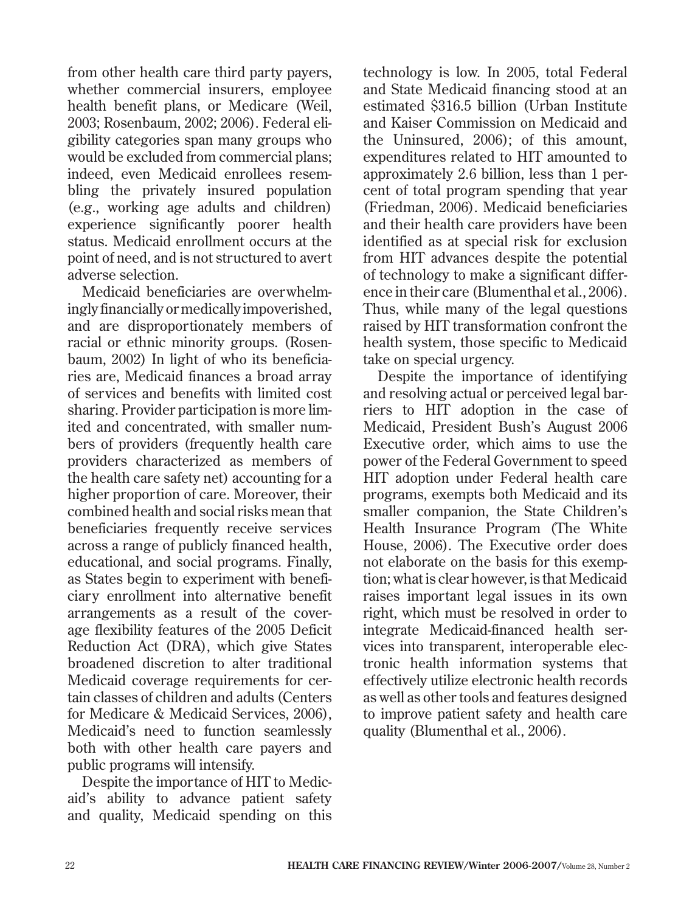from other health care third party payers, whether commercial insurers, employee health benefit plans, or Medicare (Weil, 2003; Rosenbaum, 2002; 2006). Federal eligibility categories span many groups who would be excluded from commercial plans; indeed, even Medicaid enrollees resembling the privately insured population (e.g., working age adults and children) experience significantly poorer health status. Medicaid enrollment occurs at the point of need, and is not structured to avert adverse selection.

Medicaid beneficiaries are overwhelmingly financially or medically impoverished, and are disproportionately members of racial or ethnic minority groups. (Rosenbaum, 2002) In light of who its beneficiaries are, Medicaid finances a broad array of services and benefits with limited cost sharing. Provider participation is more limited and concentrated, with smaller numbers of providers (frequently health care providers characterized as members of the health care safety net) accounting for a higher proportion of care. Moreover, their combined health and social risks mean that beneficiaries frequently receive services across a range of publicly financed health, educational, and social programs. Finally, as States begin to experiment with beneficiary enrollment into alternative benefit arrangements as a result of the coverage flexibility features of the 2005 Deficit Reduction Act (DRA), which give States broadened discretion to alter traditional Medicaid coverage requirements for certain classes of children and adults (Centers for Medicare & Medicaid Services, 2006), Medicaid's need to function seamlessly both with other health care payers and public programs will intensify.

Despite the importance of HIT to Medicaid's ability to advance patient safety and quality, Medicaid spending on this technology is low. In 2005, total Federal and State Medicaid financing stood at an estimated \$316.5 billion (Urban Institute and Kaiser Commission on Medicaid and the Uninsured, 2006); of this amount, expenditures related to HIT amounted to approximately 2.6 billion, less than 1 percent of total program spending that year (Friedman, 2006). Medicaid beneficiaries and their health care providers have been identified as at special risk for exclusion from HIT advances despite the potential of technology to make a significant difference in their care (Blumenthal et al., 2006). Thus, while many of the legal questions raised by HIT transformation confront the health system, those specific to Medicaid take on special urgency.

Despite the importance of identifying and resolving actual or perceived legal barriers to HIT adoption in the case of Medicaid, President Bush's August 2006 Executive order, which aims to use the power of the Federal Government to speed HIT adoption under Federal health care programs, exempts both Medicaid and its smaller companion, the State Children's Health Insurance Program (The White House, 2006). The Executive order does not elaborate on the basis for this exemption; what is clear however, is that Medicaid raises important legal issues in its own right, which must be resolved in order to integrate Medicaid-financed health services into transparent, interoperable electronic health information systems that effectively utilize electronic health records as well as other tools and features designed to improve patient safety and health care quality (Blumenthal et al., 2006).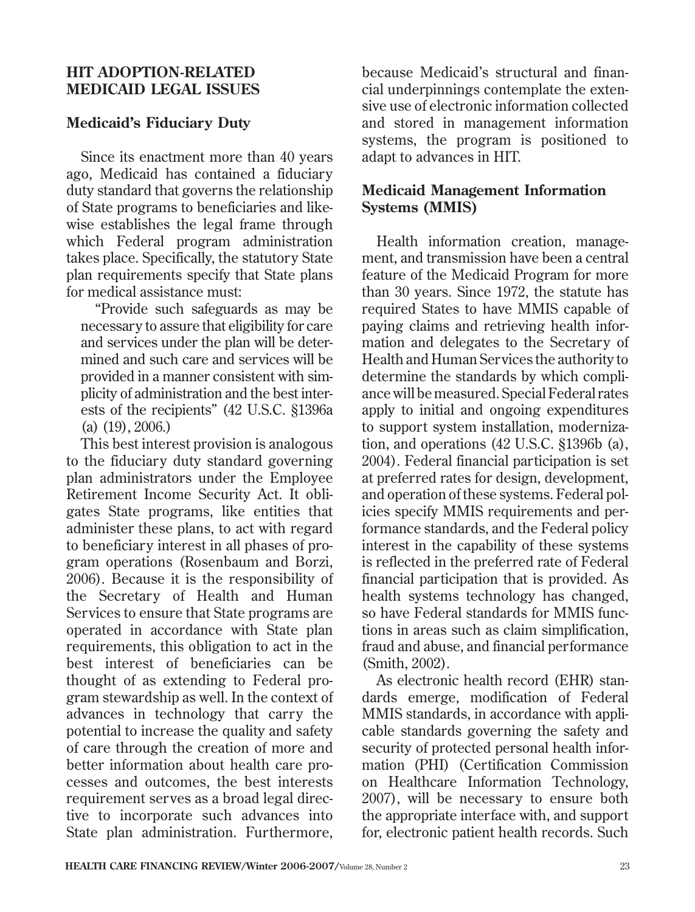### **HIT ADOPTION-RELATED MEDICAID LEGAL ISSUES**

## **Medicaid's Fiduciary Duty**

Since its enactment more than 40 years ago, Medicaid has contained a fiduciary duty standard that governs the relationship of State programs to beneficiaries and likewise establishes the legal frame through which Federal program administration takes place. Specifically, the statutory State plan requirements specify that State plans for medical assistance must:

"Provide such safeguards as may be necessary to assure that eligibility for care and services under the plan will be determined and such care and services will be provided in a manner consistent with simplicity of administration and the best interests of the recipients" (42 U.S.C. §1396a (a) (19), 2006.)

This best interest provision is analogous to the fiduciary duty standard governing plan administrators under the Employee Retirement Income Security Act. It obligates State programs, like entities that administer these plans, to act with regard to beneficiary interest in all phases of program operations (Rosenbaum and Borzi, 2006). Because it is the responsibility of the Secretary of Health and Human Services to ensure that State programs are operated in accordance with State plan requirements, this obligation to act in the best interest of beneficiaries can be thought of as extending to Federal program stewardship as well. In the context of advances in technology that carry the potential to increase the quality and safety of care through the creation of more and better information about health care processes and outcomes, the best interests requirement serves as a broad legal directive to incorporate such advances into State plan administration. Furthermore,

because Medicaid's structural and financial underpinnings contemplate the extensive use of electronic information collected and stored in management information systems, the program is positioned to adapt to advances in HIT.

## **Medicaid Management Information Systems (MMIS)**

Health information creation, management, and transmission have been a central feature of the Medicaid Program for more than 30 years. Since 1972, the statute has required States to have MMIS capable of paying claims and retrieving health information and delegates to the Secretary of Health and Human Services the authority to determine the standards by which compliance will be measured. Special Federal rates apply to initial and ongoing expenditures to support system installation, modernization, and operations (42 U.S.C. §1396b (a), 2004). Federal financial participation is set at preferred rates for design, development, and operation of these systems. Federal policies specify MMIS requirements and performance standards, and the Federal policy interest in the capability of these systems is reflected in the preferred rate of Federal financial participation that is provided. As health systems technology has changed, so have Federal standards for MMIS functions in areas such as claim simplification, fraud and abuse, and financial performance (Smith, 2002).

As electronic health record (EHR) standards emerge, modification of Federal MMIS standards, in accordance with applicable standards governing the safety and security of protected personal health information (PHI) (Certification Commission on Healthcare Information Technology, 2007), will be necessary to ensure both the appropriate interface with, and support for, electronic patient health records. Such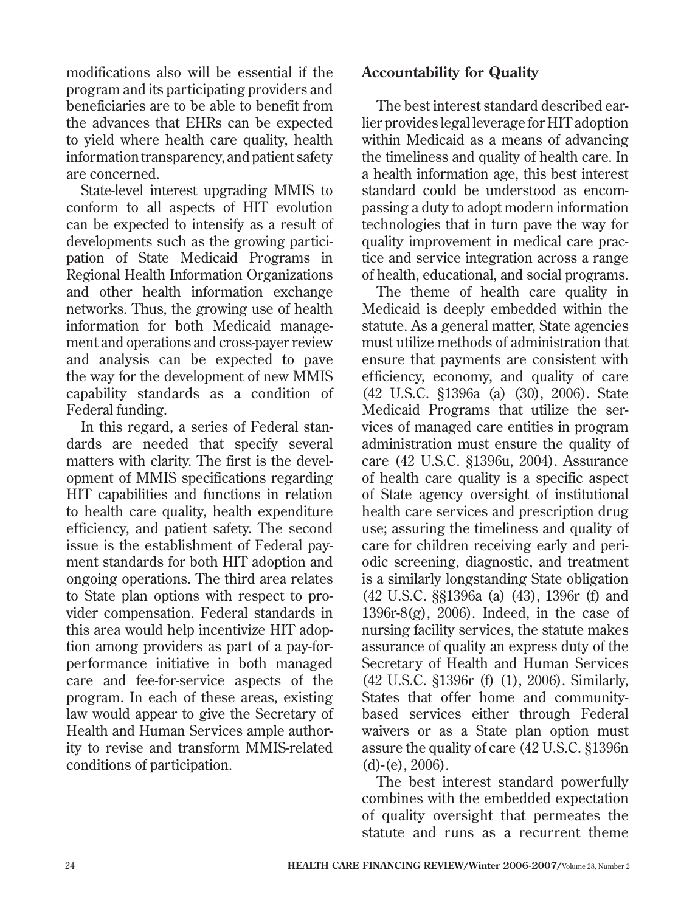modifications also will be essential if the program and its participating providers and beneficiaries are to be able to benefit from the advances that EHRs can be expected to yield where health care quality, health information transparency, and patient safety are concerned.

State-level interest upgrading MMIS to conform to all aspects of HIT evolution can be expected to intensify as a result of developments such as the growing participation of State Medicaid Programs in Regional Health Information Organizations and other health information exchange networks. Thus, the growing use of health information for both Medicaid management and operations and cross-payer review and analysis can be expected to pave the way for the development of new MMIS capability standards as a condition of Federal funding.

In this regard, a series of Federal standards are needed that specify several matters with clarity. The first is the development of MMIS specifications regarding HIT capabilities and functions in relation to health care quality, health expenditure efficiency, and patient safety. The second issue is the establishment of Federal payment standards for both HIT adoption and ongoing operations. The third area relates to State plan options with respect to provider compensation. Federal standards in this area would help incentivize HIT adoption among providers as part of a pay-forperformance initiative in both managed care and fee-for-service aspects of the program. In each of these areas, existing law would appear to give the Secretary of Health and Human Services ample authority to revise and transform MMIS-related conditions of participation.

### **Accountability for Quality**

The best interest standard described earlier provides legal leverage for HIT adoption within Medicaid as a means of advancing the timeliness and quality of health care. In a health information age, this best interest standard could be understood as encompassing a duty to adopt modern information technologies that in turn pave the way for quality improvement in medical care practice and service integration across a range of health, educational, and social programs.

The theme of health care quality in Medicaid is deeply embedded within the statute. As a general matter, State agencies must utilize methods of administration that ensure that payments are consistent with efficiency, economy, and quality of care (42 U.S.C. §1396a (a) (30), 2006). State Medicaid Programs that utilize the services of managed care entities in program administration must ensure the quality of care (42 U.S.C. §1396u, 2004). Assurance of health care quality is a specific aspect of State agency oversight of institutional health care services and prescription drug use; assuring the timeliness and quality of care for children receiving early and periodic screening, diagnostic, and treatment is a similarly longstanding State obligation (42 U.S.C. §§1396a (a) (43), 1396r (f) and 1396 $r-8(g)$ , 2006). Indeed, in the case of nursing facility services, the statute makes assurance of quality an express duty of the Secretary of Health and Human Services (42 U.S.C. §1396r (f) (1), 2006). Similarly, States that offer home and communitybased services either through Federal waivers or as a State plan option must assure the quality of care (42 U.S.C. §1396n  $(d)-(e)$ ,  $2006$ ).

The best interest standard powerfully combines with the embedded expectation of quality oversight that permeates the statute and runs as a recurrent theme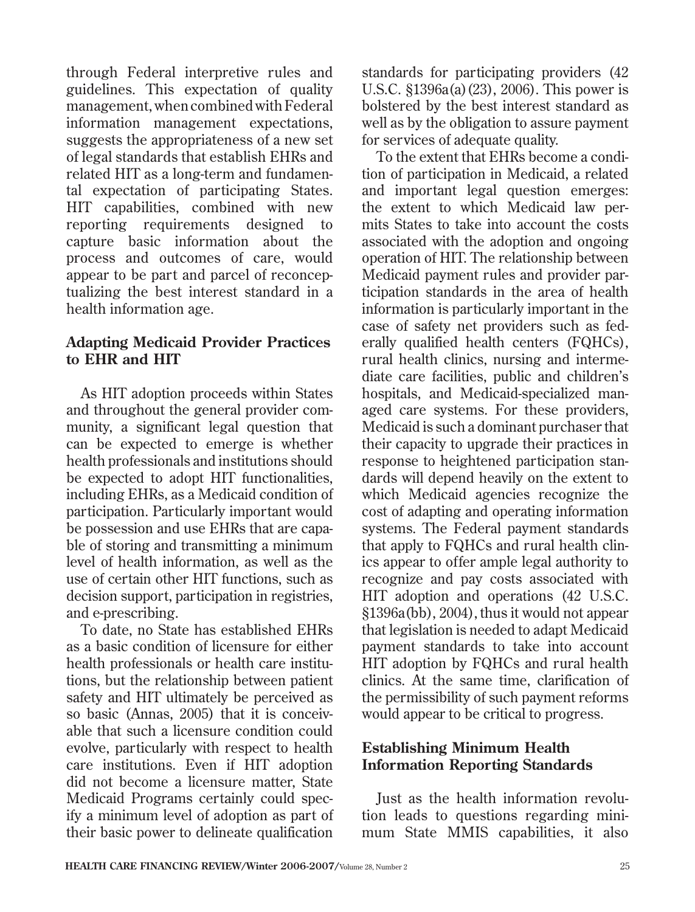through Federal interpretive rules and guidelines. This expectation of quality management, when combined with Federal information management expectations, suggests the appropriateness of a new set of legal standards that establish EHRs and related HIT as a long-term and fundamental expectation of participating States. HIT capabilities, combined with new reporting requirements designed to capture basic information about the process and outcomes of care, would appear to be part and parcel of reconceptualizing the best interest standard in a health information age.

### **Adapting Medicaid Provider Practices to EHR and HIT**

As HIT adoption proceeds within States and throughout the general provider community, a significant legal question that can be expected to emerge is whether health professionals and institutions should be expected to adopt HIT functionalities, including EHRs, as a Medicaid condition of participation. Particularly important would be possession and use EHRs that are capable of storing and transmitting a minimum level of health information, as well as the use of certain other HIT functions, such as decision support, participation in registries, and e-prescribing.

To date, no State has established EHRs as a basic condition of licensure for either health professionals or health care institutions, but the relationship between patient safety and HIT ultimately be perceived as so basic (Annas, 2005) that it is conceivable that such a licensure condition could evolve, particularly with respect to health care institutions. Even if HIT adoption did not become a licensure matter, State Medicaid Programs certainly could specify a minimum level of adoption as part of their basic power to delineate qualification

standards for participating providers (42 U.S.C. §1396a(a)(23), 2006). This power is bolstered by the best interest standard as well as by the obligation to assure payment for services of adequate quality.

To the extent that EHRs become a condition of participation in Medicaid, a related and important legal question emerges: the extent to which Medicaid law permits States to take into account the costs associated with the adoption and ongoing operation of HIT. The relationship between Medicaid payment rules and provider participation standards in the area of health information is particularly important in the case of safety net providers such as federally qualified health centers (FQHCs), rural health clinics, nursing and intermediate care facilities, public and children's hospitals, and Medicaid-specialized managed care systems. For these providers, Medicaid is such a dominant purchaser that their capacity to upgrade their practices in response to heightened participation standards will depend heavily on the extent to which Medicaid agencies recognize the cost of adapting and operating information systems. The Federal payment standards that apply to FQHCs and rural health clinics appear to offer ample legal authority to recognize and pay costs associated with HIT adoption and operations (42 U.S.C. §1396a(bb), 2004), thus it would not appear that legislation is needed to adapt Medicaid payment standards to take into account HIT adoption by FQHCs and rural health clinics. At the same time, clarification of the permissibility of such payment reforms would appear to be critical to progress.

### **Establishing Minimum Health Information Reporting Standards**

Just as the health information revolution leads to questions regarding minimum State MMIS capabilities, it also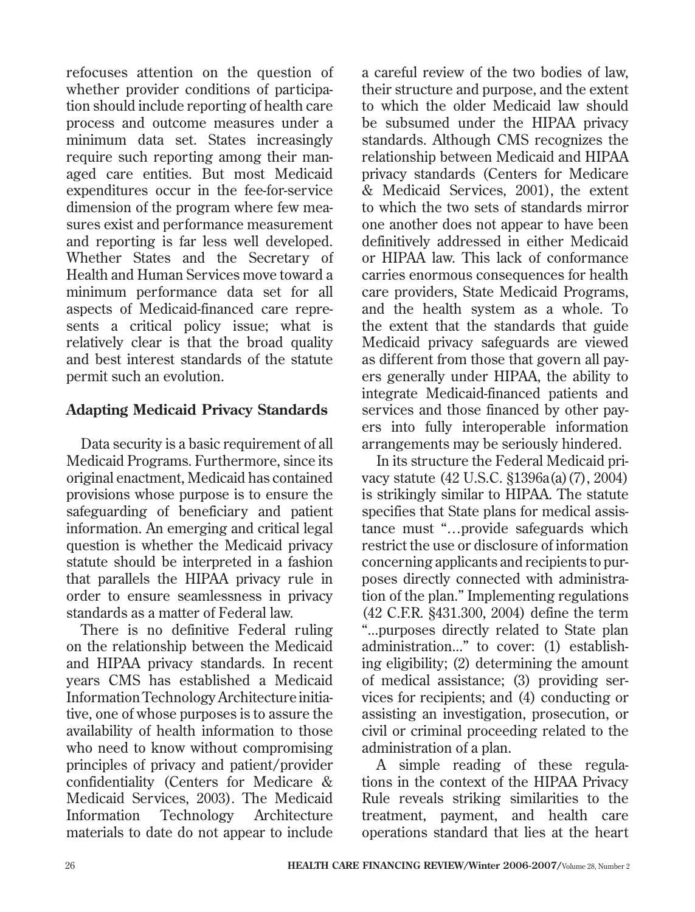refocuses attention on the question of whether provider conditions of participation should include reporting of health care process and outcome measures under a minimum data set. States increasingly require such reporting among their managed care entities. But most Medicaid expenditures occur in the fee-for-service dimension of the program where few measures exist and performance measurement and reporting is far less well developed. Whether States and the Secretary of Health and Human Services move toward a minimum performance data set for all aspects of Medicaid-financed care represents a critical policy issue; what is relatively clear is that the broad quality and best interest standards of the statute permit such an evolution.

### **Adapting Medicaid Privacy Standards**

Data security is a basic requirement of all Medicaid Programs. Furthermore, since its original enactment, Medicaid has contained provisions whose purpose is to ensure the safeguarding of beneficiary and patient information. An emerging and critical legal question is whether the Medicaid privacy statute should be interpreted in a fashion that parallels the HIPAA privacy rule in order to ensure seamlessness in privacy standards as a matter of Federal law.

There is no definitive Federal ruling on the relationship between the Medicaid and HIPAA privacy standards. In recent years CMS has established a Medicaid Information Technology Architecture initiative, one of whose purposes is to assure the availability of health information to those who need to know without compromising principles of privacy and patient/provider confidentiality (Centers for Medicare & Medicaid Services, 2003). The Medicaid Information Technology Architecture materials to date do not appear to include a careful review of the two bodies of law, their structure and purpose, and the extent to which the older Medicaid law should be subsumed under the HIPAA privacy standards. Although CMS recognizes the relationship between Medicaid and HIPAA privacy standards (Centers for Medicare & Medicaid Services, 2001), the extent to which the two sets of standards mirror one another does not appear to have been definitively addressed in either Medicaid or HIPAA law. This lack of conformance carries enormous consequences for health care providers, State Medicaid Programs, and the health system as a whole. To the extent that the standards that guide Medicaid privacy safeguards are viewed as different from those that govern all payers generally under HIPAA, the ability to integrate Medicaid-financed patients and services and those financed by other payers into fully interoperable information arrangements may be seriously hindered.

In its structure the Federal Medicaid privacy statute (42 U.S.C. §1396a(a)(7), 2004) is strikingly similar to HIPAA. The statute specifies that State plans for medical assistance must "…provide safeguards which restrict the use or disclosure of information concerning applicants and recipients to purposes directly connected with administration of the plan." Implementing regulations (42 C.F.R. §431.300, 2004) define the term "...purposes directly related to State plan administration..." to cover: (1) establishing eligibility; (2) determining the amount of medical assistance; (3) providing services for recipients; and (4) conducting or assisting an investigation, prosecution, or civil or criminal proceeding related to the administration of a plan.

A simple reading of these regulations in the context of the HIPAA Privacy Rule reveals striking similarities to the treatment, payment, and health care operations standard that lies at the heart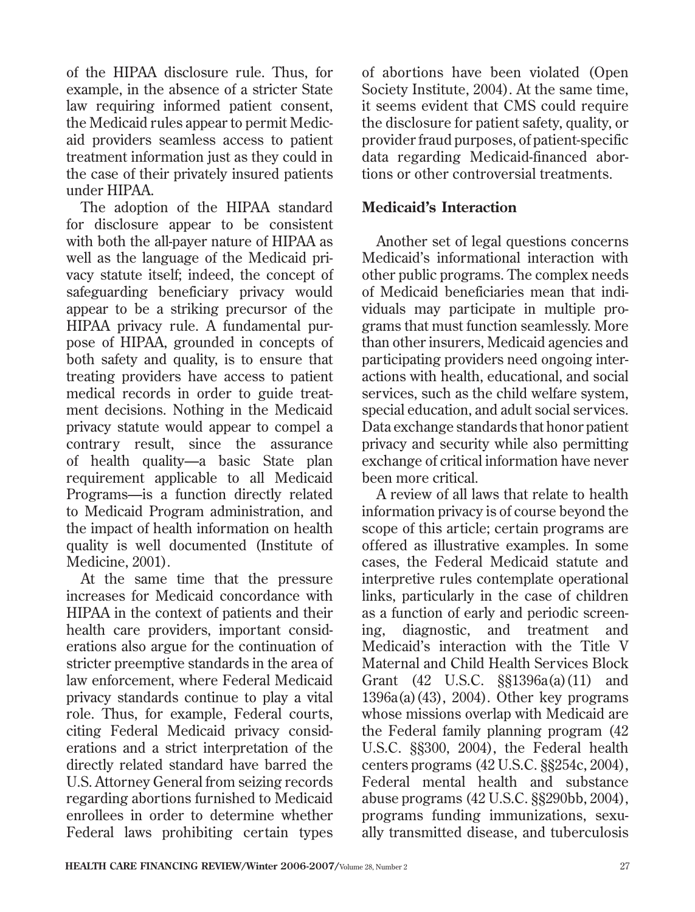of the HIPAA disclosure rule. Thus, for example, in the absence of a stricter State law requiring informed patient consent, the Medicaid rules appear to permit Medicaid providers seamless access to patient treatment information just as they could in the case of their privately insured patients under HIPAA.

The adoption of the HIPAA standard for disclosure appear to be consistent with both the all-payer nature of HIPAA as well as the language of the Medicaid privacy statute itself; indeed, the concept of safeguarding beneficiary privacy would appear to be a striking precursor of the HIPAA privacy rule. A fundamental purpose of HIPAA, grounded in concepts of both safety and quality, is to ensure that treating providers have access to patient medical records in order to guide treatment decisions. Nothing in the Medicaid privacy statute would appear to compel a contrary result, since the assurance of health quality—a basic State plan requirement applicable to all Medicaid Programs—is a function directly related to Medicaid Program administration, and the impact of health information on health quality is well documented (Institute of Medicine, 2001).

At the same time that the pressure increases for Medicaid concordance with HIPAA in the context of patients and their health care providers, important considerations also argue for the continuation of stricter preemptive standards in the area of law enforcement, where Federal Medicaid privacy standards continue to play a vital role. Thus, for example, Federal courts, citing Federal Medicaid privacy considerations and a strict interpretation of the directly related standard have barred the U.S. Attorney General from seizing records regarding abortions furnished to Medicaid enrollees in order to determine whether Federal laws prohibiting certain types

of abortions have been violated (Open Society Institute, 2004). At the same time, it seems evident that CMS could require the disclosure for patient safety, quality, or provider fraud purposes, of patient-specific data regarding Medicaid-financed abortions or other controversial treatments.

#### **Medicaid's Interaction**

Another set of legal questions concerns Medicaid's informational interaction with other public programs. The complex needs of Medicaid beneficiaries mean that individuals may participate in multiple programs that must function seamlessly. More than other insurers, Medicaid agencies and participating providers need ongoing interactions with health, educational, and social services, such as the child welfare system, special education, and adult social services. Data exchange standards that honor patient privacy and security while also permitting exchange of critical information have never been more critical.

A review of all laws that relate to health information privacy is of course beyond the scope of this article; certain programs are offered as illustrative examples. In some cases, the Federal Medicaid statute and interpretive rules contemplate operational links, particularly in the case of children as a function of early and periodic screening, diagnostic, and treatment and Medicaid's interaction with the Title V Maternal and Child Health Services Block Grant (42 U.S.C. §§1396a(a)(11) and  $1396a(a)(43)$ ,  $2004$ ). Other key programs whose missions overlap with Medicaid are the Federal family planning program (42 U.S.C. §§300, 2004), the Federal health centers programs (42 U.S.C. §§254c, 2004), Federal mental health and substance abuse programs (42 U.S.C. §§290bb, 2004), programs funding immunizations, sexually transmitted disease, and tuberculosis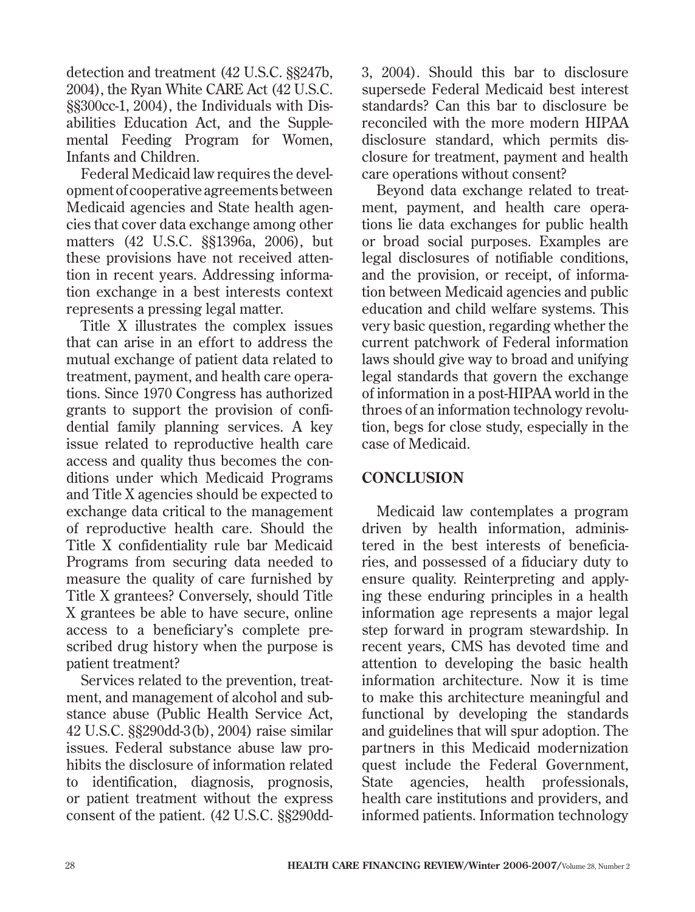detection and treatment (42 U.S.C. §§247b, 2004), the Ryan White CARE Act (42 U.S.C. §§300cc-1, 2004), the Individuals with Disabilities Education Act, and the Supplemental Feeding Program for Women, Infants and Children.

Federal Medicaid law requires the development of cooperative agreements between Medicaid agencies and State health agencies that cover data exchange among other matters (42 U.S.C. §§1396a, 2006), but these provisions have not received attention in recent years. Addressing information exchange in a best interests context represents a pressing legal matter.

Title X illustrates the complex issues that can arise in an effort to address the mutual exchange of patient data related to treatment, payment, and health care operations. Since 1970 Congress has authorized grants to support the provision of confidential family planning services. A key issue related to reproductive health care access and quality thus becomes the conditions under which Medicaid Programs and Title X agencies should be expected to exchange data critical to the management of reproductive health care. Should the Title X confidentiality rule bar Medicaid Programs from securing data needed to measure the quality of care furnished by Title X grantees? Conversely, should Title X grantees be able to have secure, online access to a beneficiary's complete prescribed drug history when the purpose is patient treatment?

Services related to the prevention, treatment, and management of alcohol and substance abuse (Public Health Service Act, 42 U.S.C. §§290dd-3(b), 2004) raise similar issues. Federal substance abuse law prohibits the disclosure of information related to identification, diagnosis, prognosis, or patient treatment without the express consent of the patient. (42 U.S.C. §§290dd3, 2004). Should this bar to disclosure supersede Federal Medicaid best interest standards? Can this bar to disclosure be reconciled with the more modern HIPAA disclosure standard, which permits disclosure for treatment, payment and health care operations without consent?

Beyond data exchange related to treatment, payment, and health care operations lie data exchanges for public health or broad social purposes. Examples are legal disclosures of notifiable conditions, and the provision, or receipt, of information between Medicaid agencies and public education and child welfare systems. This very basic question, regarding whether the current patchwork of Federal information laws should give way to broad and unifying legal standards that govern the exchange of information in a post-HIPAA world in the throes of an information technology revolution, begs for close study, especially in the case of Medicaid.

### **CONCLUSION**

Medicaid law contemplates a program driven by health information, administered in the best interests of beneficiaries, and possessed of a fiduciary duty to ensure quality. Reinterpreting and applying these enduring principles in a health information age represents a major legal step forward in program stewardship. In recent years, CMS has devoted time and attention to developing the basic health information architecture. Now it is time to make this architecture meaningful and functional by developing the standards and guidelines that will spur adoption. The partners in this Medicaid modernization quest include the Federal Government, State agencies, health professionals, health care institutions and providers, and informed patients. Information technology